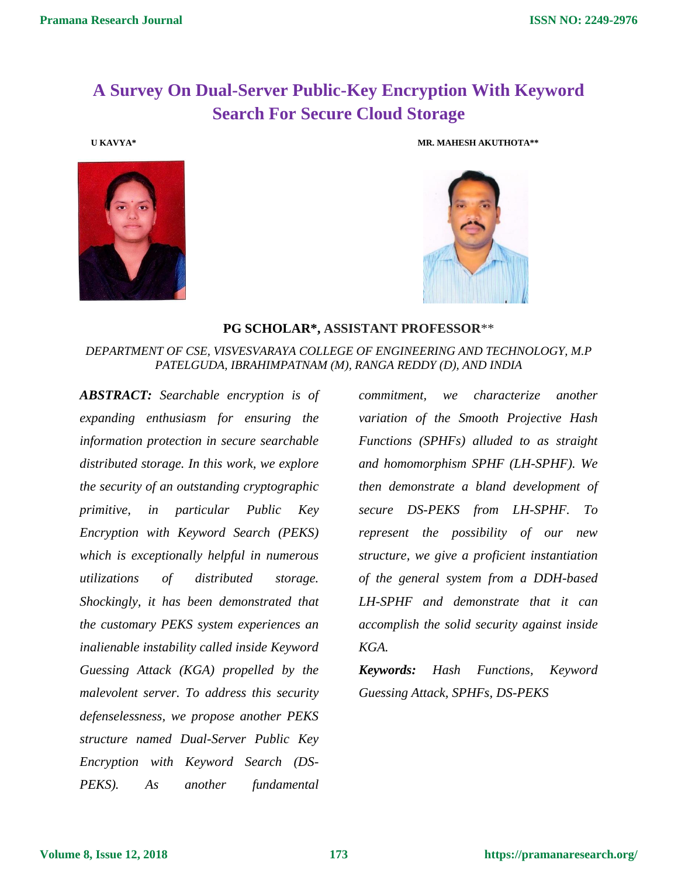## **A Survey On Dual-Server Public-Key Encryption With Keyword Search For Secure Cloud Storage**



 **U KAVYA\* MR. MAHESH AKUTHOTA\*\***



## **PG SCHOLAR\*, ASSISTANT PROFESSOR**\*\*

## *DEPARTMENT OF CSE, VISVESVARAYA COLLEGE OF ENGINEERING AND TECHNOLOGY, M.P PATELGUDA, IBRAHIMPATNAM (M), RANGA REDDY (D), AND INDIA*

*ABSTRACT: Searchable encryption is of expanding enthusiasm for ensuring the information protection in secure searchable distributed storage. In this work, we explore the security of an outstanding cryptographic primitive, in particular Public Key Encryption with Keyword Search (PEKS) which is exceptionally helpful in numerous utilizations of distributed storage. Shockingly, it has been demonstrated that the customary PEKS system experiences an inalienable instability called inside Keyword Guessing Attack (KGA) propelled by the malevolent server. To address this security defenselessness, we propose another PEKS structure named Dual-Server Public Key Encryption with Keyword Search (DS-PEKS). As another fundamental* 

*commitment, we characterize another variation of the Smooth Projective Hash Functions (SPHFs) alluded to as straight and homomorphism SPHF (LH-SPHF). We then demonstrate a bland development of secure DS-PEKS from LH-SPHF. To represent the possibility of our new structure, we give a proficient instantiation of the general system from a DDH-based LH-SPHF and demonstrate that it can accomplish the solid security against inside KGA.*

*Keywords: Hash Functions, Keyword Guessing Attack, SPHFs, DS-PEKS*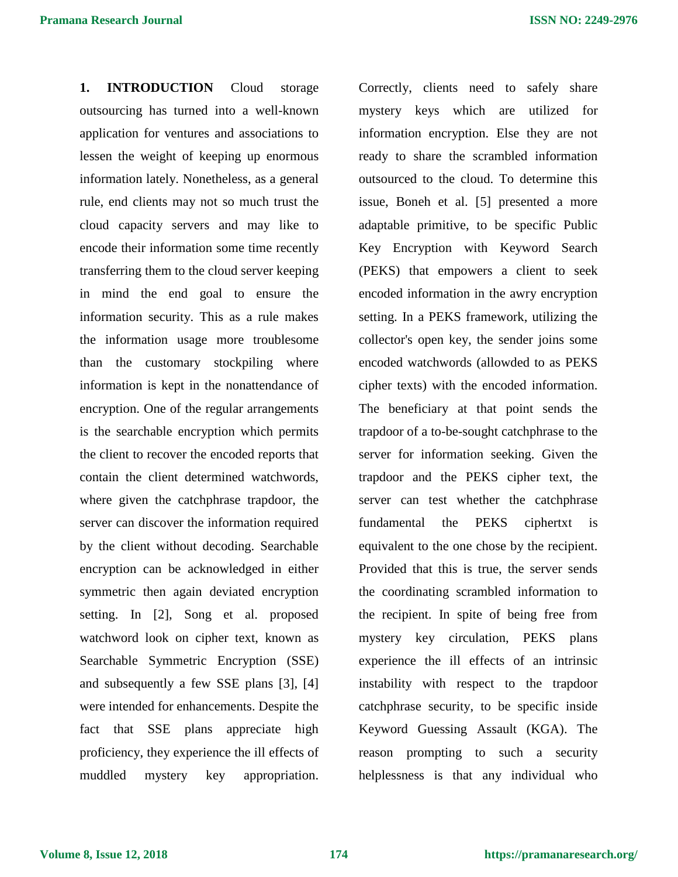**1. INTRODUCTION** Cloud storage outsourcing has turned into a well-known application for ventures and associations to lessen the weight of keeping up enormous information lately. Nonetheless, as a general rule, end clients may not so much trust the cloud capacity servers and may like to encode their information some time recently transferring them to the cloud server keeping in mind the end goal to ensure the information security. This as a rule makes the information usage more troublesome than the customary stockpiling where information is kept in the nonattendance of encryption. One of the regular arrangements is the searchable encryption which permits the client to recover the encoded reports that contain the client determined watchwords, where given the catchphrase trapdoor, the server can discover the information required by the client without decoding. Searchable encryption can be acknowledged in either symmetric then again deviated encryption setting. In [2], Song et al. proposed watchword look on cipher text, known as Searchable Symmetric Encryption (SSE) and subsequently a few SSE plans [3], [4] were intended for enhancements. Despite the fact that SSE plans appreciate high proficiency, they experience the ill effects of muddled mystery key appropriation.

Correctly, clients need to safely share mystery keys which are utilized for information encryption. Else they are not ready to share the scrambled information outsourced to the cloud. To determine this issue, Boneh et al. [5] presented a more adaptable primitive, to be specific Public Key Encryption with Keyword Search (PEKS) that empowers a client to seek encoded information in the awry encryption setting. In a PEKS framework, utilizing the collector's open key, the sender joins some encoded watchwords (allowded to as PEKS cipher texts) with the encoded information. The beneficiary at that point sends the trapdoor of a to-be-sought catchphrase to the server for information seeking. Given the trapdoor and the PEKS cipher text, the server can test whether the catchphrase fundamental the PEKS ciphertxt is equivalent to the one chose by the recipient. Provided that this is true, the server sends the coordinating scrambled information to the recipient. In spite of being free from mystery key circulation, PEKS plans experience the ill effects of an intrinsic instability with respect to the trapdoor catchphrase security, to be specific inside Keyword Guessing Assault (KGA). The reason prompting to such a security helplessness is that any individual who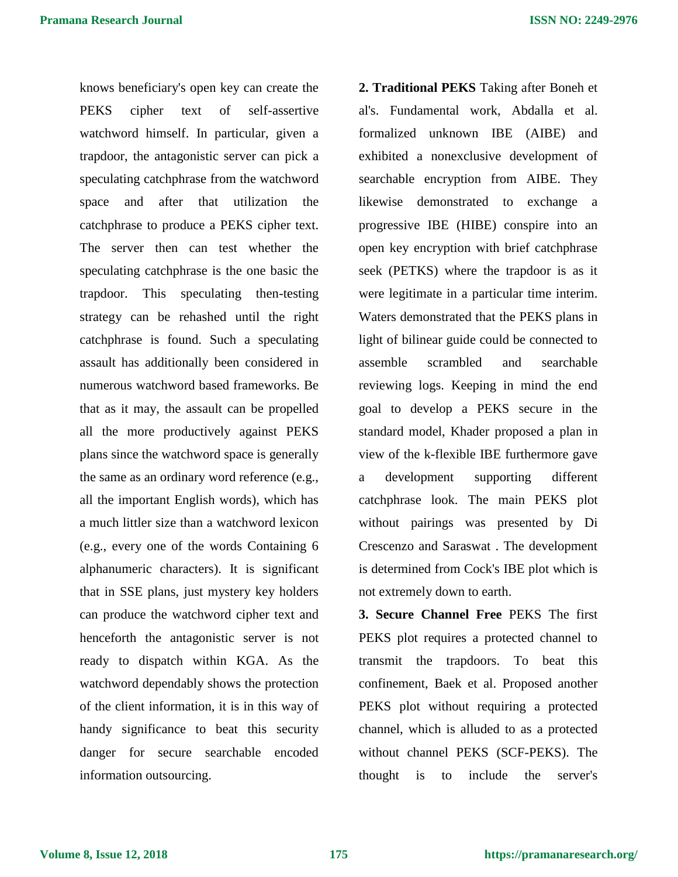knows beneficiary's open key can create the PEKS cipher text of self-assertive watchword himself. In particular, given a trapdoor, the antagonistic server can pick a speculating catchphrase from the watchword space and after that utilization the catchphrase to produce a PEKS cipher text. The server then can test whether the speculating catchphrase is the one basic the trapdoor. This speculating then-testing strategy can be rehashed until the right catchphrase is found. Such a speculating assault has additionally been considered in numerous watchword based frameworks. Be that as it may, the assault can be propelled all the more productively against PEKS plans since the watchword space is generally the same as an ordinary word reference (e.g., all the important English words), which has a much littler size than a watchword lexicon (e.g., every one of the words Containing 6 alphanumeric characters). It is significant that in SSE plans, just mystery key holders can produce the watchword cipher text and henceforth the antagonistic server is not ready to dispatch within KGA. As the watchword dependably shows the protection of the client information, it is in this way of handy significance to beat this security danger for secure searchable encoded information outsourcing.

**2. Traditional PEKS** Taking after Boneh et al's. Fundamental work, Abdalla et al. formalized unknown IBE (AIBE) and exhibited a nonexclusive development of searchable encryption from AIBE. They likewise demonstrated to exchange a progressive IBE (HIBE) conspire into an open key encryption with brief catchphrase seek (PETKS) where the trapdoor is as it were legitimate in a particular time interim. Waters demonstrated that the PEKS plans in light of bilinear guide could be connected to assemble scrambled and searchable reviewing logs. Keeping in mind the end goal to develop a PEKS secure in the standard model, Khader proposed a plan in view of the k-flexible IBE furthermore gave a development supporting different catchphrase look. The main PEKS plot without pairings was presented by Di Crescenzo and Saraswat . The development is determined from Cock's IBE plot which is not extremely down to earth.

**3. Secure Channel Free** PEKS The first PEKS plot requires a protected channel to transmit the trapdoors. To beat this confinement, Baek et al. Proposed another PEKS plot without requiring a protected channel, which is alluded to as a protected without channel PEKS (SCF-PEKS). The thought is to include the server's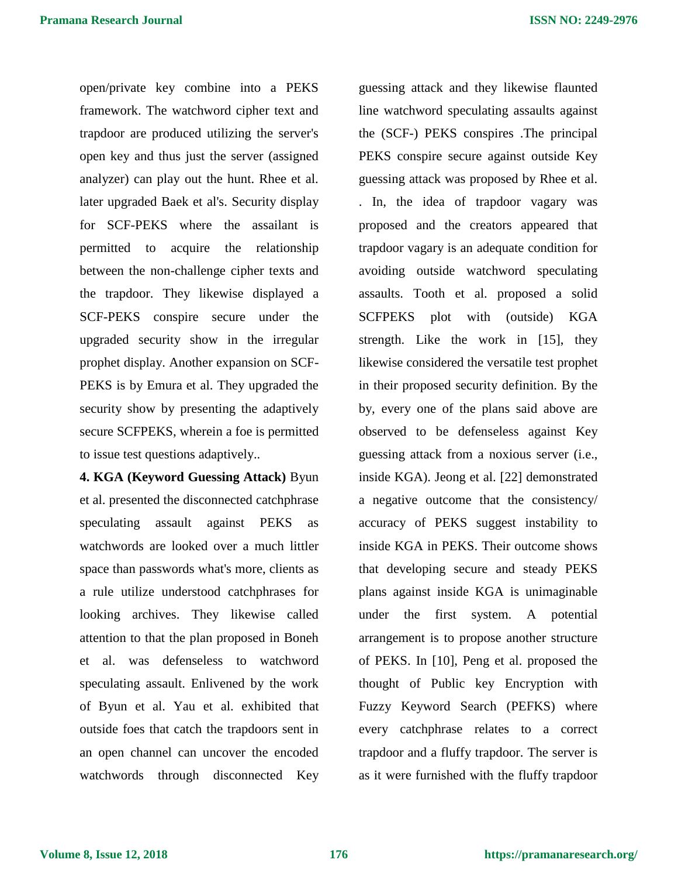open/private key combine into a PEKS framework. The watchword cipher text and trapdoor are produced utilizing the server's open key and thus just the server (assigned analyzer) can play out the hunt. Rhee et al. later upgraded Baek et al's. Security display for SCF-PEKS where the assailant is permitted to acquire the relationship between the non-challenge cipher texts and the trapdoor. They likewise displayed a SCF-PEKS conspire secure under the upgraded security show in the irregular prophet display. Another expansion on SCF-PEKS is by Emura et al. They upgraded the security show by presenting the adaptively secure SCFPEKS, wherein a foe is permitted to issue test questions adaptively..

**4. KGA (Keyword Guessing Attack)** Byun et al. presented the disconnected catchphrase speculating assault against PEKS as watchwords are looked over a much littler space than passwords what's more, clients as a rule utilize understood catchphrases for looking archives. They likewise called attention to that the plan proposed in Boneh et al. was defenseless to watchword speculating assault. Enlivened by the work of Byun et al. Yau et al. exhibited that outside foes that catch the trapdoors sent in an open channel can uncover the encoded watchwords through disconnected Key

guessing attack and they likewise flaunted line watchword speculating assaults against the (SCF-) PEKS conspires .The principal PEKS conspire secure against outside Key guessing attack was proposed by Rhee et al. . In, the idea of trapdoor vagary was proposed and the creators appeared that trapdoor vagary is an adequate condition for avoiding outside watchword speculating assaults. Tooth et al. proposed a solid SCFPEKS plot with (outside) KGA strength. Like the work in [15], they likewise considered the versatile test prophet in their proposed security definition. By the by, every one of the plans said above are observed to be defenseless against Key guessing attack from a noxious server (i.e., inside KGA). Jeong et al. [22] demonstrated a negative outcome that the consistency/ accuracy of PEKS suggest instability to inside KGA in PEKS. Their outcome shows that developing secure and steady PEKS plans against inside KGA is unimaginable under the first system. A potential arrangement is to propose another structure of PEKS. In [10], Peng et al. proposed the thought of Public key Encryption with Fuzzy Keyword Search (PEFKS) where every catchphrase relates to a correct trapdoor and a fluffy trapdoor. The server is as it were furnished with the fluffy trapdoor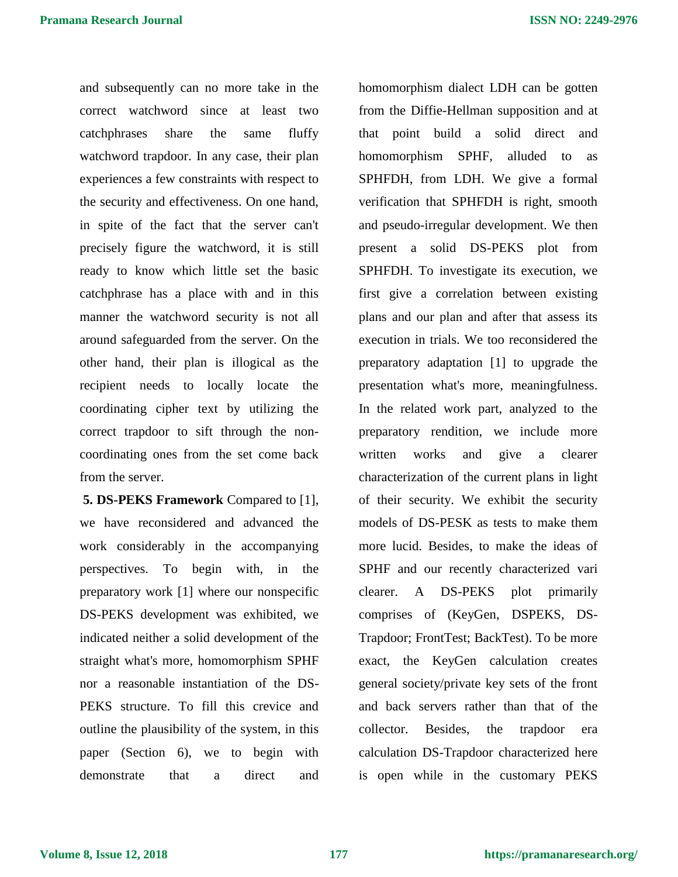and subsequently can no more take in the correct watchword since at least two catchphrases share the same fluffy watchword trapdoor. In any case, their plan experiences a few constraints with respect to the security and effectiveness. On one hand, in spite of the fact that the server can't precisely figure the watchword, it is still ready to know which little set the basic catchphrase has a place with and in this manner the watchword security is not all around safeguarded from the server. On the other hand, their plan is illogical as the recipient needs to locally locate the coordinating cipher text by utilizing the correct trapdoor to sift through the noncoordinating ones from the set come back from the server.

**5. DS-PEKS Framework** Compared to [1], we have reconsidered and advanced the work considerably in the accompanying perspectives. To begin with, in the preparatory work [1] where our nonspecific DS-PEKS development was exhibited, we indicated neither a solid development of the straight what's more, homomorphism SPHF nor a reasonable instantiation of the DS-PEKS structure. To fill this crevice and outline the plausibility of the system, in this paper (Section 6), we to begin with demonstrate that a direct and homomorphism dialect LDH can be gotten from the Diffie-Hellman supposition and at that point build a solid direct and homomorphism SPHF, alluded to as SPHFDH, from LDH. We give a formal verification that SPHFDH is right, smooth and pseudo-irregular development. We then present a solid DS-PEKS plot from SPHFDH. To investigate its execution, we first give a correlation between existing plans and our plan and after that assess its execution in trials. We too reconsidered the preparatory adaptation [1] to upgrade the presentation what's more, meaningfulness. In the related work part, analyzed to the preparatory rendition, we include more written works and give a clearer characterization of the current plans in light of their security. We exhibit the security models of DS-PESK as tests to make them more lucid. Besides, to make the ideas of SPHF and our recently characterized vari clearer. A DS-PEKS plot primarily comprises of (KeyGen, DSPEKS, DS-Trapdoor; FrontTest; BackTest). To be more exact, the KeyGen calculation creates general society/private key sets of the front and back servers rather than that of the collector. Besides, the trapdoor era calculation DS-Trapdoor characterized here is open while in the customary PEKS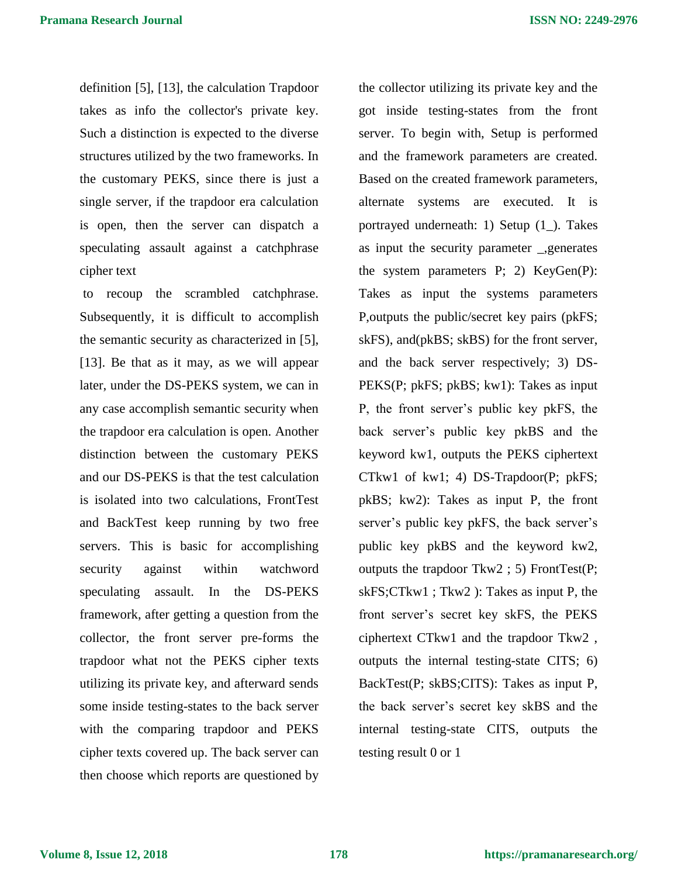definition [5], [13], the calculation Trapdoor takes as info the collector's private key. Such a distinction is expected to the diverse structures utilized by the two frameworks. In the customary PEKS, since there is just a single server, if the trapdoor era calculation is open, then the server can dispatch a speculating assault against a catchphrase cipher text

to recoup the scrambled catchphrase. Subsequently, it is difficult to accomplish the semantic security as characterized in [5], [13]. Be that as it may, as we will appear later, under the DS-PEKS system, we can in any case accomplish semantic security when the trapdoor era calculation is open. Another distinction between the customary PEKS and our DS-PEKS is that the test calculation is isolated into two calculations, FrontTest and BackTest keep running by two free servers. This is basic for accomplishing security against within watchword speculating assault. In the DS-PEKS framework, after getting a question from the collector, the front server pre-forms the trapdoor what not the PEKS cipher texts utilizing its private key, and afterward sends some inside testing-states to the back server with the comparing trapdoor and PEKS cipher texts covered up. The back server can then choose which reports are questioned by

the collector utilizing its private key and the got inside testing-states from the front server. To begin with, Setup is performed and the framework parameters are created. Based on the created framework parameters, alternate systems are executed. It is portrayed underneath: 1) Setup (1\_). Takes as input the security parameter \_,generates the system parameters P; 2) KeyGen(P): Takes as input the systems parameters P,outputs the public/secret key pairs (pkFS; skFS), and(pkBS; skBS) for the front server, and the back server respectively; 3) DS-PEKS(P; pkFS; pkBS; kw1): Takes as input P, the front server's public key pkFS, the back server's public key pkBS and the keyword kw1, outputs the PEKS ciphertext CTkw1 of kw1; 4) DS-Trapdoor(P; pkFS; pkBS; kw2): Takes as input P, the front server's public key pkFS, the back server's public key pkBS and the keyword kw2, outputs the trapdoor Tkw2 ; 5) FrontTest(P; skFS;CTkw1 ; Tkw2 ): Takes as input P, the front server's secret key skFS, the PEKS ciphertext CTkw1 and the trapdoor Tkw2 , outputs the internal testing-state CITS; 6) BackTest(P; skBS;CITS): Takes as input P, the back server's secret key skBS and the internal testing-state CITS, outputs the testing result 0 or 1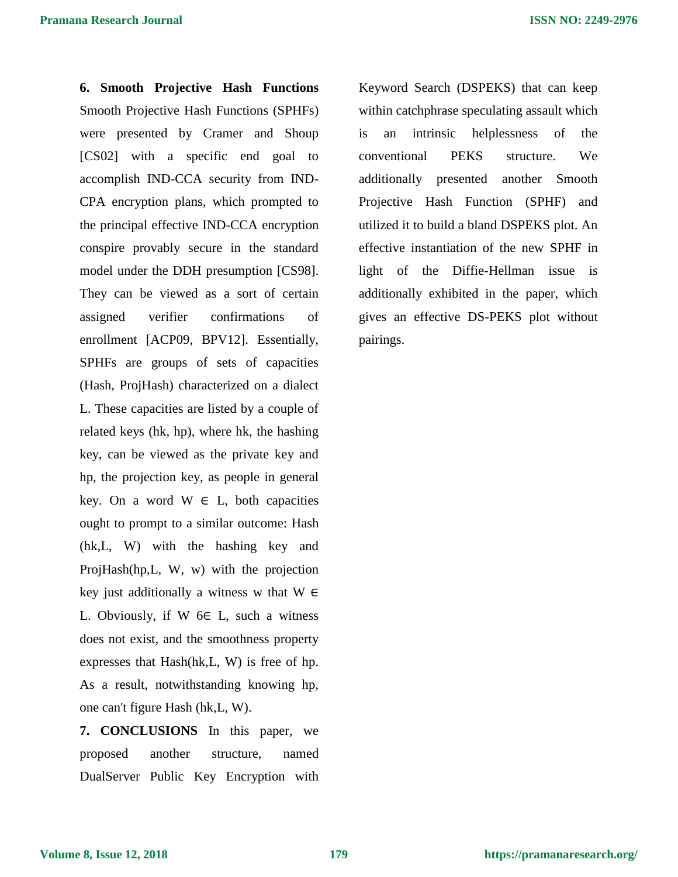**6. Smooth Projective Hash Functions** Smooth Projective Hash Functions (SPHFs) were presented by Cramer and Shoup [CS02] with a specific end goal to accomplish IND-CCA security from IND-CPA encryption plans, which prompted to the principal effective IND-CCA encryption conspire provably secure in the standard model under the DDH presumption [CS98]. They can be viewed as a sort of certain assigned verifier confirmations of enrollment [ACP09, BPV12]. Essentially, SPHFs are groups of sets of capacities (Hash, ProjHash) characterized on a dialect L. These capacities are listed by a couple of related keys (hk, hp), where hk, the hashing key, can be viewed as the private key and hp, the projection key, as people in general key. On a word  $W \in L$ , both capacities ought to prompt to a similar outcome: Hash (hk,L, W) with the hashing key and ProjHash(hp,L, W, w) with the projection key just additionally a witness w that  $W \in$ L. Obviously, if W  $6 \in L$ , such a witness does not exist, and the smoothness property expresses that Hash(hk,L, W) is free of hp. As a result, notwithstanding knowing hp, one can't figure Hash (hk,L, W).

**7. CONCLUSIONS** In this paper, we proposed another structure, named DualServer Public Key Encryption with Keyword Search (DSPEKS) that can keep within catchphrase speculating assault which is an intrinsic helplessness of the conventional PEKS structure. We additionally presented another Smooth Projective Hash Function (SPHF) and utilized it to build a bland DSPEKS plot. An effective instantiation of the new SPHF in light of the Diffie-Hellman issue is additionally exhibited in the paper, which gives an effective DS-PEKS plot without pairings.